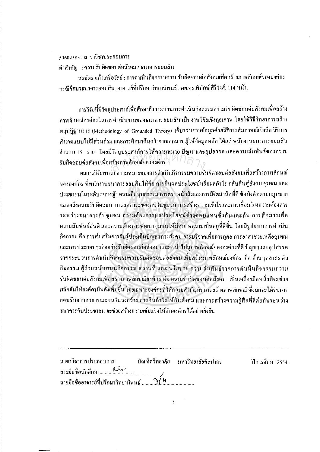## 53602383 : สาขาวิชาประกอบการ

คำสำคัญ : ความรับผิดชอบต่อสังคม / ธนาคารออมสิน

สรฉัตร แก้วเครือวัลย์ : การคำเนินกิจกรรมความรับผิดชอบต่อสังคมเพื่อสร้างภาพลักษณ์ขององค์กร กรณีศึกษาธนาคารออมสิน. อาจารย์ที่ปรึกษาวิทยานิพนธ์ : ผศ.ดร.พิทักษ์ ศิริวงศ์. 114 หน้า.

ี การวิจัยนี้มีวัตถุประสงค์เพื่อศึกษาถึงกระบวนการดำเนินกิจกรรมความรับผิดชอบต่อสังคมเพื่อสร้าง ึกาพลักษณ์องค์กรในการดำเนินงานของธนาคารออมสิน เป็นงานวิจัยเชิงคุณภาพ โตยใช้วิธีวิทยาการสร้าง หฤษฎีฐานราก (Methodology of Grounded Theory) เก็บรวบรวมข้อมูลค้วยวิธีการสัมภาษณ์เชิงลึก วิธีการ ้สังเกตแบบไม่มีส่วนร่วม และการศึกษาค้นคว้าจากเอกสาร ผู้ให้ข้อมูลหลัก ได้แก่ พนักงานธนาคารออมสิน จำนวน 15 ราย โดยมีวัตถุประสงค์การให้ความหมาย ปัญหาและอุปสรรค และความสัมพันธ์ของความ รับผิดชอบค่อสังคมเพื่อสร้างภาพลักษณ์ขององค์กร $\overline{\gamma}$ 

ผลการวิจัยพบว่า ความหมายของการคำเนินกิจกรรมความรับผิดชอบต่อสังคมเพื่อสร้างภาพลักษณ์ ขององค์กร ที่พนักงานธนาคารออมสินให้คือ การคืนผลประโยชน์หรือผลกำไร กลับคืนสู่สังคม ชุมชน และ ้ ประชาชนในระดับรากหญ้า ความมีมนุษยธรรม การตระหนักถึงและการมีจิตสำนึกที่ดี ข้อบังคับตามกฎหมาย แสดงถึงความรับผิดชอบ การลดภาระของคนในชุมชน การสร้างความเข้าใจและการเชื่อมโยงความต้องการ ระหว่างธนาคารกับชุมชน ความต้องการผลประโยชน์ต่างดอบแทนซึ่งกันและกัน การสื่อสารเพื่อ ้ความสัมพันธ์อันดี และความด้องการพัฒนาชุมชนให้มีสภาพความเป็นอยู่ที่ดีขึ้น โคยมีรูปแบบการคำเนิน ้กิจกรรม คือ การส่งเสริมการรับรู้ประเด็นปัญหาทางสังคม การบริจาคเพื่อการกุสล การอาสาช่วยเหลือชุมชน และการประกอบธุรกิจอย่างรับผิดชอบต่อสังคม และจะนำไปสู่ภาพลักษณ์ขององค์กรที่ดี ปัญหาและอุปสรรค ึ่งากกระบวนการคำเนินกิ่งกรรมความรับผิดชอบค่อสังคม เพื่อสร้างภาพลักษณ์องค์กร คือ ด้านบุคลากร ตัว ้กิจกรรม ผู้ร่วมสนับสนุนกิจกรรม สถานที่ และ นโยบาย ความสัมพันธ์จากการคำเนินกิจกรรมความ รับผิดชอบต่อสังคมเพื่อสร้างภาพลักษณ์องค์กร คือ ความรับผิดชอบต่อสังคม เป็นเครื่องมือหนึ่งที่จะช่วย ้ผลักดันให้องค์กรมีพลังเพิ่มขึ้น โดยเฉพาะองค์กรที่ให้ความสำคัญกับการสร้างภาพลักษณ์ ซึ่งมักจะได้รับการ ยอมรับจากสาธารณะชนในวงกว้าง การคืนกำไรให้กับสังคม และการสร้างความรู้สึกที่คีต่อกันระหว่าง ้ธนาคารกับประชาชน จะช่วยสร้างความเข้มแข็งให้กับองค์กรได้อย่างยั่งยืน

| สาขาวิชาการประกอบการ | บัณฑิตวิทยาลัย มหาวิทยาลัยศิลปากร | ปีการศึกษา 2554 |
|----------------------|-----------------------------------|-----------------|
|                      |                                   |                 |
|                      |                                   |                 |

 $\mathbf{3}$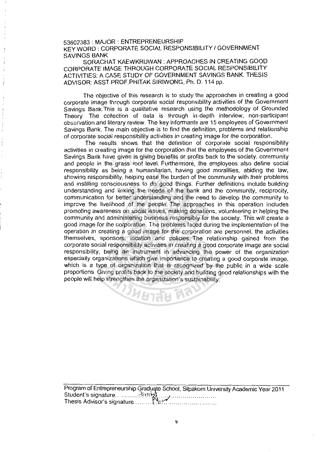53602383 : MAJOR : ENTREPRENEURSHIP KEY WORD : CORPORATE SOCIAL RESPONSIBILITY I GOVERNMENT SAVINGS BANK

SORACHAT KAEWKRUWAN: APPROACHES IN CREATING GOOD CORPORATE IMAGE THROUGH CORPORATE SOCIAL RESPONSIBILITY ACTIVITIES: A CASE STUDY OF GOVERNMENT SAVINGS BANK. THESIS ADVISOR: ASST.PROF.PHITAK SIRIWONG, Ph. D. 114 pp.

The objective of this research is to study the approaches in creating a good corporate image through corporate social responsibility activities of the Government Savings Bank.This is a qualitative research using the methodology of Grounded Theory. The collection of data is through in-depth interview, non-participant observation and literary review. The key informants are 15 employees of Government Savings Bank. The main objective is to find the definition, problems and relationship of corporate social responsibility activities in creating image for the corporation.

The results shows that the definition of corporate social responsibility activities in creating image for the corporation that the employees of the Government Savings Bank have given is giving benefits or profits back to the society, community and people in the grass root level. Furthermore, the employees also define social responsibility as being a humanitarian, having good moralities, abiding the law, showing responsibility, helping ease the burden of the community with their problems and instilling consciousness to do good things. Further definitions include building understanding and linking the needs of the bank and the community, reciprocity, communication for better understanding and the need to develop the community to improve the livelihood of the people. The approaches in this operation includes promoting awareness on social issues, making donations, volunteering in helping the community and administering business responsibly for the society. This will create a good image for the corporation. The problems faced during the implementation of the operation in creating a good image for the corporation are personnel, the activities themselves, sponsors, location and policies. The relationship gained from the corporate social responsibility activities in creating a good corporate image are social responsibility, being an instrument in advancing the power of the organization especially organizations which give importance to creating a good corporate image, which is a type of organization that is recognized by the public in a wide scale proportions. Giving profits back to the society and building good relationships with the people will help strengthen the organization's sustainability. ve given is giving benefits or profits<br>e grass root level. Furthermore, the<br>being a humanitarian, having goo

**JUETEE F** 

we construct the open of the capacity of consol, or part of the sity Academic Tear 2011 Thesis Advisor's signature .......... (\; ........................... .